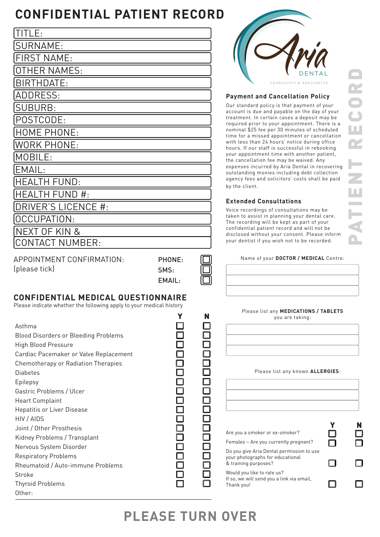## **CONFIDENTIAL PATIENT RECORD**

| TITLE:                 |
|------------------------|
| SURNAME:               |
| <b>FIRST NAME:</b>     |
| <b>OTHER NAMES:</b>    |
| BIRTHDATE:             |
| <b>ADDRESS:</b>        |
| <b>SUBURB:</b>         |
| POSTCODE:              |
| HOME PHONE:            |
| WORK PHONE:            |
| MOBILE:                |
| EMAIL:                 |
| <b>HEALTH FUND:</b>    |
| HEALTH FUND #:         |
| DRIVER'S LICENCE #:    |
| OCCUPATION:            |
| NEXT OF KIN &          |
| <b>CONTACT NUMBER:</b> |
|                        |

APPOINTMENT CONFIRMATION: (please tick)

| PHONE: |  |
|--------|--|
| SMS:   |  |
| EMAIL: |  |

### **CONFIDENTIAL MEDICAL QUESTIONNAIRE**

Please indicate whether the following apply to your medical history

|                                                                                                                                                                                                                                                                                                              | N | Please list any MEDICATIONS / TABLETS<br>you are taking:                                                                                                                                       |   |
|--------------------------------------------------------------------------------------------------------------------------------------------------------------------------------------------------------------------------------------------------------------------------------------------------------------|---|------------------------------------------------------------------------------------------------------------------------------------------------------------------------------------------------|---|
| Asthma<br><b>Blood Disorders or Bleeding Problems</b><br><b>High Blood Pressure</b><br>Cardiac Pacemaker or Valve Replacement<br>Chemotherapy or Radiation Therapies<br><b>Diabetes</b><br>Epilepsy<br>Gastric Problems / Ulcer<br><b>Heart Complaint</b><br><b>Hepatitis or Liver Disease</b><br>HIV / AIDS |   | Please list any known ALLERGIES:                                                                                                                                                               |   |
| Joint / Other Prosthesis<br>Kidney Problems / Transplant<br>Nervous System Disorder                                                                                                                                                                                                                          |   | Are you a smoker or ex-smoker?<br>Females - Are you currently pregnant?                                                                                                                        | N |
| <b>Respiratory Problems</b><br>Rheumatoid / Auto-immune Problems<br>Stroke<br><b>Thyroid Problems</b>                                                                                                                                                                                                        |   | Do you give Aria Dental permission to use<br>your photographs for educational<br>& training purposes?<br>Would you like to rate us?<br>If so, we will send you a link via email,<br>Thank you! |   |
| Other:                                                                                                                                                                                                                                                                                                       |   |                                                                                                                                                                                                |   |



#### **Payment and Cancellation Policy**

Our standard policy is that payment of your account is due and payable on the day of your treatment. In certain cases a deposit may be required prior to your appointment. There is a nominal \$25 fee per 30 minutes of scheduled time for a missed appointment or cancellation with less than 24 hours' notice during office hours. If our staff is successful in rebooking your appointment time with another patient, the cancellation fee may be waived. Any expenses incurred by Aria Dental in recovering outstanding monies including debt collection agency fees and solicitors' costs shall be paid by the client.

#### **Extended Consultations**

Voice recordings of consultations may be taken to assist in planning your dental care. The recording will be kept as part of your confidential patient record and will not be disclosed without your consent. Please inform your dentist if you wish not to be recorded.

Name of your **DOCTOR / MEDICAL** Centre:

| l | I |
|---|---|
| ı |   |
|   |   |
|   |   |
|   |   |
|   |   |
|   |   |
|   |   |
|   |   |
| I |   |
|   |   |

# **PLEASE TURN OVER**